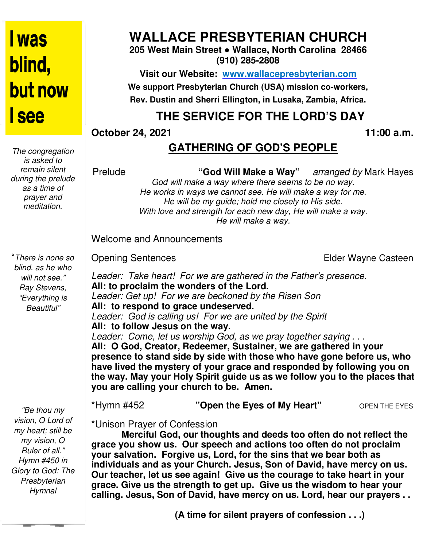# I was blind, **but now** I see

*The congregation is asked to remain silent during the prelude as a time of prayer and meditation.* 

# **WALLACE PRESBYTERIAN CHURCH**

**205 West Main Street ● Wallace, North Carolina 28466 (910) 285-2808** 

**Visit our Website: www.wallacepresbyterian.com** We support Presbyterian Church (USA) mission co-workers, **Rev. Dustin and Sherri Ellington, in Lusaka, Zambia, Africa.** 

# **THE SERVICE FOR THE LORD'S DAY**

**October 24, 2021** 

**11:00 a.m.** 

## **GATHERING OF GOD'S PEOPLE**

Prelude

"God Will Make a Way" arranged by Mark Hayes

God will make a way where there seems to be no way. *He works in ways we cannot see. He will make a way for me. He will be my guide; hold me closely to His side. With love and strength for each new day, He will make a way. be my guide; hold me close<br>• strength for each new day,<br>• He will make a way.* 

Welcome and Announcements and Announcements

Opening Sentences

Elder Wayne Casteen

"*There is none so blind, as he who will not see." Ray Stevens, "Everything is Beautiful"* 

 *Presbyterian "Be thou my vision, O Lord of my heart; still be my vision, O Ruler of all." Hymn #450 in Glory to God: The Hymnal* 

Leader: Take heart! For we are gathered in the Father's presence. **All: to proclaim the wonders of the Lord.** Leader: Get up! For we are beckoned by the Risen Son **All: to respond to grace undeserved.** *Leader: God is calling us! For we are united by the Spirit* **All: to follow Jesus on the way.** *Leader: Come, let us worship God, as we pray together saying . . .* All: to respond to grace undeserved.<br>Leader: God is calling us! For we are united by the Spirit<br>All: to follow Jesus on the way.<br>Leader: Come, let us worship God, as we pray together saying . . .<br>All: O God, Creator, Redee **presence to stand side by side with those who have gone before us, us, who**  have lived the mystery of your grace and responded by following you on the way. May your Holy Spirit guide us as we follow you to the places that<br>you are calling your church to be. Amen. **you are calling your church to be. COLOGE 24, 2021**<br> **COLOGE 24 CATHERING OF GOD'S PEOPLE**<br> **COLOGE 26 COVIN Make a Way"** arranged by Mark Hayes<br>
Frequite<br>
Colog will make a way where there seems to be no way.<br>
He works in wise we cannot see He will make a

\*Hymn #452 **"Open the Eyes of My Heart"** OPEN THE EYES

\*Unison Prayer of Confession

**Merciful God, our thoughts and deeds too often do not reflect the grace you show us. Our speech and actions too often do not proclaim your salvation. Forgive us, Lord, for the sins that we bear both as**  grace you show us. Our speech and actions too often do not proclaim<br>your salvation. Forgive us, Lord, for the sins that we bear both as<br>individuals and as your Church. Jesus, Son of David, have mercy on us. **Our teacher, let us see again! Give us the courage to take heart in your grace. Give us the strength to get up. Give us the wisdom to hear your calling. Jesus, Son of David, have mercy on us. Lord, hear our prayers . . your May Spirit to too you the David,** 

 **(A time for silent prayers of confession . . .)**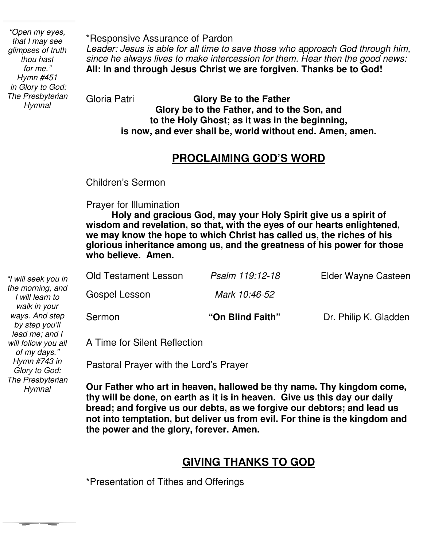*"Open my eyes, that I may see glimpses of truth thou hast for me." Hymn #451 in Glory to God: The Presbyterian Hymnal* 

*Hymn #743 in Glory to God: The Presbyterian Hymnal* 

**The Color** 

\*Responsive Assurance of Pardon *Leader: Jesus is able for all time to save those who approach God through him, since he always lives to make intercession for them. Hear then the good news:* **All: In and through Jesus Christ we are forgiven. Thanks be to God!** 

Gloria Patri **Glory Be to the Father Glory be to the Father, and to the Son, and to the Holy Ghost; as it was in the beginning, is now, and ever shall be, world without end. Amen, amen.** 

#### **PROCLAIMING GOD'S WORD**

Children's Sermon

Prayer for Illumination

 **wisdom and revelation, so that, with the eyes of our hearts enlightened, Holy and gracious God, may your Holy Spirit give us a spirit of we may know the hope to which Christ has called us, the riches of his glorious inheritance among us, and the greatness of his power for those who believe. Amen.**

| "I will seek you in                                   | <b>Old Testament Lesson</b>  | Psalm 119:12-18  | Elder Wayne Casteen   |
|-------------------------------------------------------|------------------------------|------------------|-----------------------|
| the morning, and<br>I will learn to<br>walk in your   | Gospel Lesson                | Mark 10:46-52    |                       |
| ways. And step<br>by step you'll                      | Sermon                       | "On Blind Faith" | Dr. Philip K. Gladden |
| lead me; and I<br>will follow you all<br>of my days." | A Time for Silent Reflection |                  |                       |

Pastoral Prayer with the Lord's Prayer

 **not into temptation, but deliver us from evil. For thine is the kingdom and Our Father who art in heaven, hallowed be thy name. Thy kingdom come, thy will be done, on earth as it is in heaven. Give us this day our daily bread; and forgive us our debts, as we forgive our debtors; and lead us the power and the glory, forever. Amen.** 

## **GIVING THANKS TO GOD**

\*Presentation of Tithes and Offerings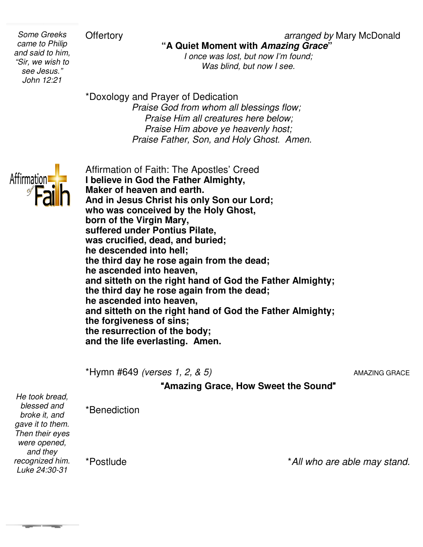**Offertory** 

*Some Greeks came to Philip and said to him, "Sir, we wish to see Jesus." John 12:21* 

**"A Quiet Moment with Amazing Grace"**

*I once was lost, but now I'm found;*<br>Was blind, but now I see.

\*Doxology and Prayer of Dedication  *Praise God from whom all blessings flow; Praise Him all creatures here below; Praise Him above ye heavenly host; Praise Father, Son, and Holy Ghost. Amen.* 



Affirmation of Faith: The Apostles' Creed **I believe in God the Father Almighty, Maker of heaven and earth. And in Jesus Christ his only Son our Lord; who was conceived by the Holy Ghost, born of the Virgin Mary, suffered under Pontius Pilate, was crucified, dead, and buried; he descended into hell;** the third day he rose again from the dead; **he ascended into heaven, and sitteth on the right hand of God the Father Almighty; the third day he rose again from the dead; he ascended into heaven, and sitteth on the right hand of God the Father Almighty; the forgiveness of sins; the resurrection of the body; and the life everlasting. Amen.**  heaven and earth.<br><sub>!</sub>sus Christ his only Son our Lord;<br>conceived by the Holy Ghost, ascended into heaven,<br>**I sitteth on the right hand of God the** Father<br><sup>I</sup> third day he rose again from the dead; ascended into heaven,<br>**d sitteth on the right hand of God the Father**<br>· forgiveness of sins;<br>· resurrection of the body;

\*Hymn #649 *(verses 1, 2, & 5)*

*5)* AMAZING GRACE

"**Amazing Grace, How Sweet the Sound Grace,** "

*He took bread, blessed and broke it, and gave it to them. Then their eyes were opened, and they recognized him. Luke 24:30-31* 

**The Company** 

\*Benediction

\*Postlude

\**All who are able may stand. stand.*

#### *arranged by Mary McDonald*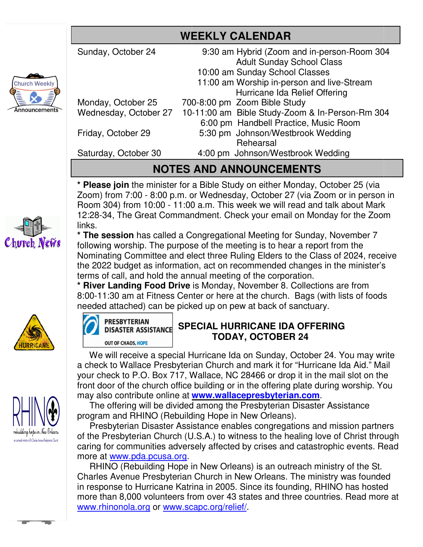# **WEEKLY CALENDAR**

|                                | <b>WEEKLY CALENDAR</b>                          |  |  |
|--------------------------------|-------------------------------------------------|--|--|
| Sunday, October 24             | 9:30 am Hybrid (Zoom and in-person-Room 304     |  |  |
|                                | <b>Adult Sunday School Class</b>                |  |  |
|                                | 10:00 am Sunday School Classes                  |  |  |
|                                | 11:00 am Worship in-person and live-Stream      |  |  |
|                                | Hurricane Ida Relief Offering                   |  |  |
| Monday, October 25             | 700-8:00 pm Zoom Bible Study                    |  |  |
| Wednesday, October 27          | 10-11:00 am Bible Study-Zoom & In-Person-Rm 304 |  |  |
|                                | 6:00 pm Handbell Practice, Music Room           |  |  |
| Friday, October 29             | 5:30 pm Johnson/Westbrook Wedding               |  |  |
|                                | Rehearsal                                       |  |  |
| Saturday, October 30           | 4:00 pm Johnson/Westbrook Wedding               |  |  |
| <b>NOTES AND ANNOUNCEMENTS</b> |                                                 |  |  |
|                                |                                                 |  |  |

## **NOTES AND ANNOUNCEMENTS**

\* **Please join** the minister for a Bible Study on either Monday, October 25 (via Zoom) from 7:00 - 8:00 p.m. or Wednesday, October 27 (via Zoom or in person in Room 304) from 10:00 - 11:00 a.m. This week we will read and talk about Mark 12:28-34, The Great Commandment. Check your email on Monday for the Zoom links.

**\* The session** has called a Congregational Meeting for Sunday, November 7 following worship. The purpose of the meeting is to hear a report from the Nominating Committee and elect three Ruling Elders to the Class of 2024, receive the 2022 budget as information, act on recommended changes in the minister's terms of call, and hold the annual meeting of the corporation. from 7:00 - 8:00 p.m. or Wednesday, October 27 (via Zoom or in person 304) from 10:00 - 11:00 a.m. This week we will read and talk about Mark 34, The Great Commandment. Check your email on Monday for the Zoon session has c a.m. This week we will read and talk about Mark<br>Iment. Check your email on Monday for the Zoom<br>ngregational Meeting for Sunday, November 7<br>of the meeting is to hear a report from the<br>ct three Ruling Elders to the Class of

terms of call, and hold the annual meeting of the corporation.<br>\* **River Landing Food Drive** is Monday, November 8. Collections are from 8:00-11:30 am at Fitness Center or here at the church. Bags (with lists of foods needed attached) can be picked up on pew at back of sanctuary.



Church Weekh

nnouncements



 We will receive a special Hurricane Ida on Sunday, October 24. You may write a check to Wallace Presbyterian Church and mark it for "Hurricane Ida Aid." Mail your check to P.O. Box 717, Wallace, NC 28466 or drop it in the mail slot on the front door of the church office building or in the offering plate during worship. You may also contribute online at **www.wallacepresbyterian.com**.

 The offering will be divided among the Presbyterian Disaster Assistance program and RHINO (Rebuilding Hope in New Orleans).

 Presbyterian Disaster Assistance enables congregations and mission partners The offering will be divided among the Presbyterian Disaster Assistance<br>program and RHINO (Rebuilding Hope in New Orleans).<br>Presbyterian Disaster Assistance enables congregations and mission partners<br>of the Presbyterian Ch caring for communities adversely affected by crises and catastrophic events. Read more at www.pda.pcusa.org. caring for communities adversely affected by crises and catastrophic events. Read<br>more at <u>www.pda.pcusa.org</u>.<br>RHINO (Rebuilding Hope in New Orleans) is an outreach ministry of the St.

Charles Avenue Presbyterian Church in New Orleans. The ministry was founded in response to Hurricane Katrina in 2005. Since its founding, RHINO has hosted in response to Hurricane Katrina in 2005. Since its founding, RHINO has hosted<br>more than 8,000 volunteers from over 43 states and three countries. Read more www.rhinonola.org or www.scapc.org/relief/. Presbyterian Disaster Assistance enables congregations and mission partners<br>he Presbyterian Church (U.S.A.) to witness to the healing love of Christ through<br>ing for communities adversely affected by crises and catastrophic